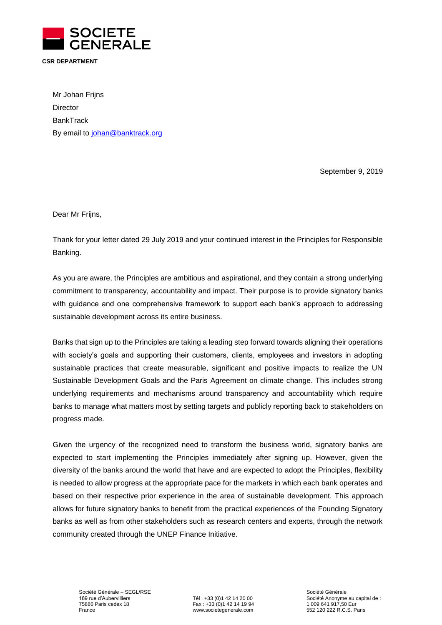

# **CSR DEPARTMENT**

Mr Johan Frijns **Director BankTrack** By email to [johan@banktrack.org](mailto:johan@banktrack.org)

September 9, 2019

Dear Mr Frijns,

Thank for your letter dated 29 July 2019 and your continued interest in the Principles for Responsible Banking.

As you are aware, the Principles are ambitious and aspirational, and they contain a strong underlying commitment to transparency, accountability and impact. Their purpose is to provide signatory banks with guidance and one comprehensive framework to support each bank's approach to addressing sustainable development across its entire business.

Banks that sign up to the Principles are taking a leading step forward towards aligning their operations with society's goals and supporting their customers, clients, employees and investors in adopting sustainable practices that create measurable, significant and positive impacts to realize the UN Sustainable Development Goals and the Paris Agreement on climate change. This includes strong underlying requirements and mechanisms around transparency and accountability which require banks to manage what matters most by setting targets and publicly reporting back to stakeholders on progress made.

Given the urgency of the recognized need to transform the business world, signatory banks are expected to start implementing the Principles immediately after signing up. However, given the diversity of the banks around the world that have and are expected to adopt the Principles, flexibility is needed to allow progress at the appropriate pace for the markets in which each bank operates and based on their respective prior experience in the area of sustainable development. This approach allows for future signatory banks to benefit from the practical experiences of the Founding Signatory banks as well as from other stakeholders such as research centers and experts, through the network community created through the UNEP Finance Initiative.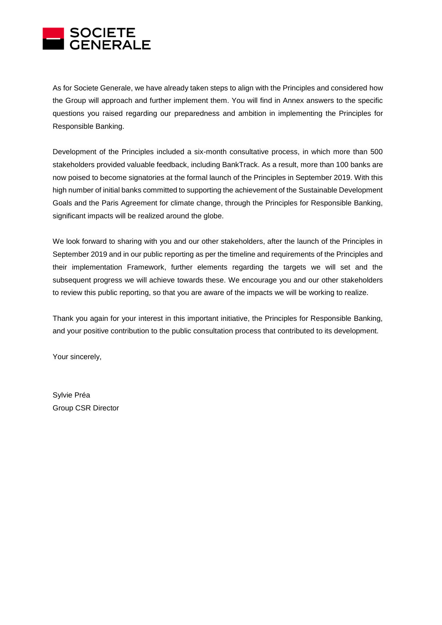

As for Societe Generale, we have already taken steps to align with the Principles and considered how the Group will approach and further implement them. You will find in Annex answers to the specific questions you raised regarding our preparedness and ambition in implementing the Principles for Responsible Banking.

Development of the Principles included a six-month consultative process, in which more than 500 stakeholders provided valuable feedback, including BankTrack. As a result, more than 100 banks are now poised to become signatories at the formal launch of the Principles in September 2019. With this high number of initial banks committed to supporting the achievement of the Sustainable Development Goals and the Paris Agreement for climate change, through the Principles for Responsible Banking, significant impacts will be realized around the globe.

We look forward to sharing with you and our other stakeholders, after the launch of the Principles in September 2019 and in our public reporting as per the timeline and requirements of the Principles and their implementation Framework, further elements regarding the targets we will set and the subsequent progress we will achieve towards these. We encourage you and our other stakeholders to review this public reporting, so that you are aware of the impacts we will be working to realize.

Thank you again for your interest in this important initiative, the Principles for Responsible Banking, and your positive contribution to the public consultation process that contributed to its development.

Your sincerely,

Sylvie Préa Group CSR Director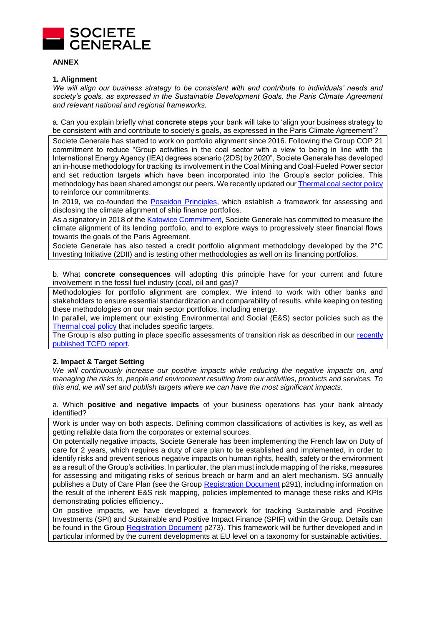

## **ANNEX**

# **1. Alignment**

*We will align our business strategy to be consistent with and contribute to individuals' needs and society's goals, as expressed in the Sustainable Development Goals, the Paris Climate Agreement and relevant national and regional frameworks.* 

a. Can you explain briefly what **concrete steps** your bank will take to 'align your business strategy to be consistent with and contribute to society's goals, as expressed in the Paris Climate Agreement'?

Societe Generale has started to work on portfolio alignment since 2016. Following the Group COP 21 commitment to reduce "Group activities in the coal sector with a view to being in line with the International Energy Agency (IEA) degrees scenario (2DS) by 2020", Societe Generale has developed an in-house methodology for tracking its involvement in the Coal Mining and Coal-Fueled Power sector and set reduction targets which have been incorporated into the Group's sector policies. This methodology has been shared amongst our peers. We recently updated ou[r Thermal coal sector policy](https://www.societegenerale.com/sites/default/files/documents/Document%20RSE/politiques_sectorielles/thermal-coal-sector-policy.pdf) to reinforce our commitments.

In 2019, we co-founded the [Poseidon Principles,](https://www.poseidonprinciples.org/#about) which establish a framework for assessing and disclosing the climate alignment of ship finance portfolios.

As a signatory in 2018 of the [Katowice Commitment,](https://www.societegenerale.com/sites/default/files/documents/Document%20RSE/the_katowice_commitment.pdf) Societe Generale has committed to measure the climate alignment of its lending portfolio, and to explore ways to progressively steer financial flows towards the goals of the Paris Agreement.

Societe Generale has also tested a credit portfolio alignment methodology developed by the 2°C Investing Initiative (2DII) and is testing other methodologies as well on its financing portfolios.

b. What **concrete consequences** will adopting this principle have for your current and future involvement in the fossil fuel industry (coal, oil and gas)?

Methodologies for portfolio alignment are complex. We intend to work with other banks and stakeholders to ensure essential standardization and comparability of results, while keeping on testing these methodologies on our main sector portfolios, including energy.

In parallel, we implement our existing Environmental and Social (E&S) sector policies such as the [Thermal coal policy](https://www.societegenerale.com/sites/default/files/documents/Document%20RSE/politiques_sectorielles/thermal-coal-sector-policy.pdf) that includes specific targets.

The Group is also putting in place specific assessments of transition risk as described in our recently [published TCFD report.](https://www.societegenerale.com/sites/default/files/documents/Document%20RSE/climate-disclosure-societe-generale-tcfd-report-june.pdf)

# **2. Impact & Target Setting**

*We will continuously increase our positive impacts while reducing the negative impacts on, and managing the risks to, people and environment resulting from our activities, products and services. To this end, we will set and publish targets where we can have the most significant impacts.* 

a. Which **positive and negative impacts** of your business operations has your bank already identified?

Work is under way on both aspects. Defining common classifications of activities is key, as well as getting reliable data from the corporates or external sources.

On potentially negative impacts, Societe Generale has been implementing the French law on Duty of care for 2 years, which requires a duty of care plan to be established and implemented, in order to identify risks and prevent serious negative impacts on human rights, health, safety or the environment as a result of the Group's activities. In particular, the plan must include mapping of the risks, measures for assessing and mitigating risks of serious breach or harm and an alert mechanism. SG annually publishes a Duty of Care Plan (see the Group [Registration Document](https://www.societegenerale.com/sites/default/files/documents/Document%20de%20r%C3%A9f%C3%A9rence/2019/ddr-2019_societe-generale_eng_version.pdf#page=293) p291), including information on the result of the inherent E&S risk mapping, policies implemented to manage these risks and KPIs demonstrating policies efficiency..

On positive impacts, we have developed a framework for tracking Sustainable and Positive Investments (SPI) and Sustainable and Positive Impact Finance (SPIF) within the Group. Details can be found in the Group [Registration Document](https://www.societegenerale.com/sites/default/files/documents/Document%20de%20r%C3%A9f%C3%A9rence/2019/ddr-2019_societe-generale_eng_version.pdf#page=275) p273). This framework will be further developed and in particular informed by the current developments at EU level on a taxonomy for sustainable activities.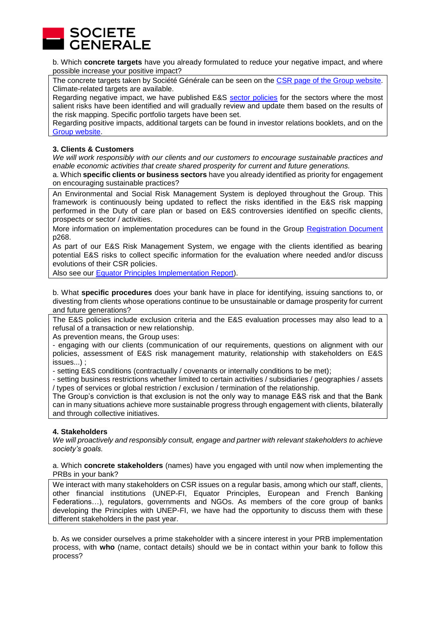

b. Which **concrete targets** have you already formulated to reduce your negative impact, and where possible increase your positive impact?

The concrete targets taken by Société Générale can be seen on the [CSR page of the Group](https://www.societegenerale.com/en/commitments-to-the-fight-against-climate-change) website. Climate-related targets are available.

Regarding negative impact, we have published E&S [sector policies](https://www.societegenerale.com/en/measuring-our-performance/csr/responsible-finance) for the sectors where the most salient risks have been identified and will gradually review and update them based on the results of the risk mapping. Specific portfolio targets have been set.

Regarding positive impacts, additional targets can be found in investor relations booklets, and on the [Group website.](https://www.societegenerale.com/sites/default/files/documents/Document%20RSE/Environnement/fortheclimate.pdf)

## **3. Clients & Customers**

*We will work responsibly with our clients and our customers to encourage sustainable practices and enable economic activities that create shared prosperity for current and future generations.* 

a. Which **specific clients or business sectors** have you already identified as priority for engagement on encouraging sustainable practices?

An Environmental and Social Risk Management System is deployed throughout the Group. This framework is continuously being updated to reflect the risks identified in the E&S risk mapping performed in the Duty of care plan or based on E&S controversies identified on specific clients, prospects or sector / activities.

More information on implementation procedures can be found in the Group [Registration Document](https://www.societegenerale.com/sites/default/files/documents/Document%20de%20r%C3%A9f%C3%A9rence/2019/ddr-2019_societe-generale_eng_version.pdf#page=270) p268.

As part of our E&S Risk Management System, we engage with the clients identified as bearing potential E&S risks to collect specific information for the evaluation where needed and/or discuss evolutions of their CSR policies.

Also see our Equator Principles [Implementation Report\)](https://wholesale.banking.societegenerale.com/fileadmin/user_upload/SGCIB/pdf/EP_Report_2018_Final.pdf).

b. What **specific procedures** does your bank have in place for identifying, issuing sanctions to, or divesting from clients whose operations continue to be unsustainable or damage prosperity for current and future generations?

The E&S policies include exclusion criteria and the E&S evaluation processes may also lead to a refusal of a transaction or new relationship.

As prevention means, the Group uses:

- engaging with our clients (communication of our requirements, questions on alignment with our policies, assessment of E&S risk management maturity, relationship with stakeholders on E&S issues...) ;

- setting E&S conditions (contractually / covenants or internally conditions to be met);

- setting business restrictions whether limited to certain activities / subsidiaries / geographies / assets / types of services or global restriction / exclusion / termination of the relationship.

The Group's conviction is that exclusion is not the only way to manage E&S risk and that the Bank can in many situations achieve more sustainable progress through engagement with clients, bilaterally and through collective initiatives.

### **4. Stakeholders**

*We will proactively and responsibly consult, engage and partner with relevant stakeholders to achieve society's goals.* 

### a. Which **concrete stakeholders** (names) have you engaged with until now when implementing the PRBs in your bank?

We interact with many stakeholders on CSR issues on a regular basis, among which our staff, clients, other financial institutions (UNEP-FI, Equator Principles, European and French Banking Federations…), regulators, governments and NGOs. As members of the core group of banks developing the Principles with UNEP-FI, we have had the opportunity to discuss them with these different stakeholders in the past year.

b. As we consider ourselves a prime stakeholder with a sincere interest in your PRB implementation process, with **who** (name, contact details) should we be in contact within your bank to follow this process?